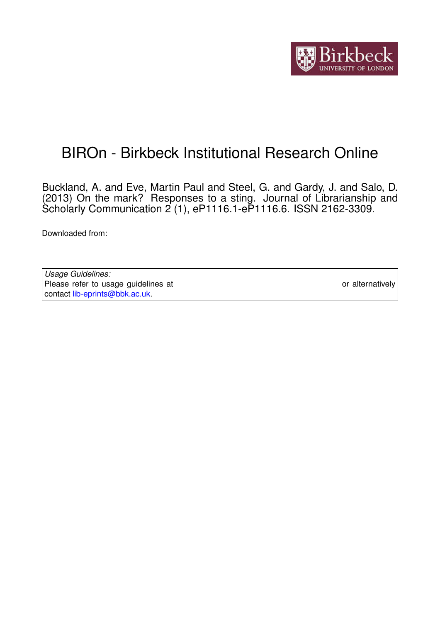

## BIROn - Birkbeck Institutional Research Online

Buckland, A. and Eve, Martin Paul and Steel, G. and Gardy, J. and Salo, D. (2013) On the mark? Responses to a sting. Journal of Librarianship and Scholarly Communication 2 (1), eP1116.1-eP1116.6. ISSN 2162-3309.

Downloaded from: <https://eprints.bbk.ac.uk/id/eprint/12198/>

*Usage Guidelines:* Please refer to usage guidelines at <https://eprints.bbk.ac.uk/policies.html> or alternatively contact [lib-eprints@bbk.ac.uk.](mailto:lib-eprints@bbk.ac.uk)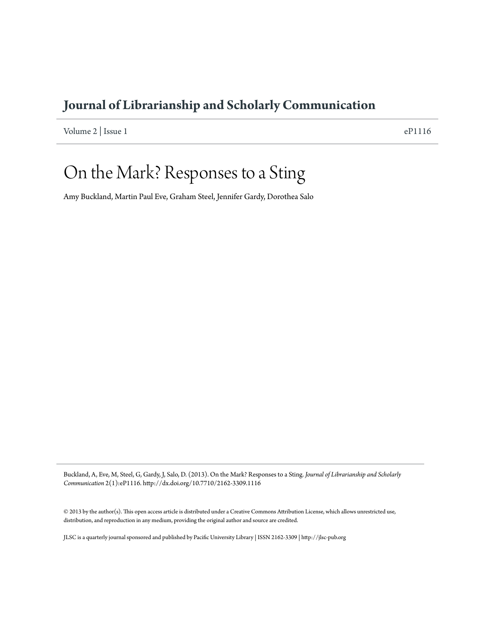### **[Journal of Librarianship and Scholarly Communication](http://jlsc-pub.org/jlsc)**

Volume  $2 \mid$  [Issue 1](http://jlsc-pub.org/jlsc/vol2/iss1) [eP1116](http://jlsc-pub.org/jlsc/vol2/iss1/7)

## On the Mark? Responses to a Sting

Amy Buckland, Martin Paul Eve, Graham Steel, Jennifer Gardy, Dorothea Salo

Buckland, A, Eve, M, Steel, G, Gardy, J, Salo, D. (2013). On the Mark? Responses to a Sting. *Journal of Librarianship and Scholarly Communication* 2(1):eP1116. http://dx.doi.org/10.7710/2162-3309.1116

© 2013 by the author(s). This open access article is distributed under a Creative Commons Attribution License, which allows unrestricted use, distribution, and reproduction in any medium, providing the original author and source are credited.

JLSC is a quarterly journal sponsored and published by Pacific University Library | ISSN 2162-3309 | http://jlsc-pub.org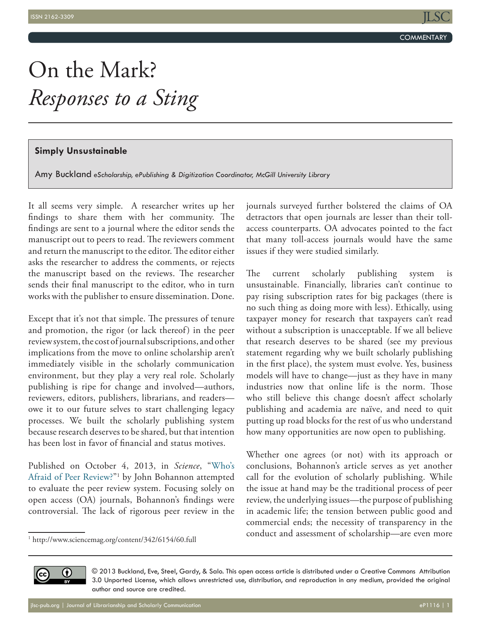# On the Mark? *Responses to a Sting*

#### **Simply Unsustainable**

Amy Buckland *eScholarship, ePublishing & Digitization Coordinator, McGill University Library*

It all seems very simple. A researcher writes up her findings to share them with her community. The findings are sent to a journal where the editor sends the manuscript out to peers to read. The reviewers comment and return the manuscript to the editor. The editor either asks the researcher to address the comments, or rejects the manuscript based on the reviews. The researcher sends their final manuscript to the editor, who in turn works with the publisher to ensure dissemination. Done.

Except that it's not that simple. The pressures of tenure and promotion, the rigor (or lack thereof) in the peer review system, the cost of journal subscriptions, and other implications from the move to online scholarship aren't immediately visible in the scholarly communication environment, but they play a very real role. Scholarly publishing is ripe for change and involved—authors, reviewers, editors, publishers, librarians, and readers owe it to our future selves to start challenging legacy processes. We built the scholarly publishing system because research deserves to be shared, but that intention has been lost in favor of financial and status motives.

Published on October 4, 2013, in *Science*, "[Who's](http://www.sciencemag.org/content/342/6154/60.full) [Afraid of Peer Review?"](http://www.sciencemag.org/content/342/6154/60.full)1 by John Bohannon attempted to evaluate the peer review system. Focusing solely on open access (OA) journals, Bohannon's findings were controversial. The lack of rigorous peer review in the

journals surveyed further bolstered the claims of OA detractors that open journals are lesser than their tollaccess counterparts. OA advocates pointed to the fact that many toll-access journals would have the same issues if they were studied similarly.

The current scholarly publishing system is unsustainable. Financially, libraries can't continue to pay rising subscription rates for big packages (there is no such thing as doing more with less). Ethically, using taxpayer money for research that taxpayers can't read without a subscription is unacceptable. If we all believe that research deserves to be shared (see my previous statement regarding why we built scholarly publishing in the first place), the system must evolve. Yes, business models will have to change—just as they have in many industries now that online life is the norm. Those who still believe this change doesn't affect scholarly publishing and academia are naïve, and need to quit putting up road blocks for the rest of us who understand how many opportunities are now open to publishing.

Whether one agrees (or not) with its approach or conclusions, Bohannon's article serves as yet another call for the evolution of scholarly publishing. While the issue at hand may be the traditional process of peer review, the underlying issues—the purpose of publishing in academic life; the tension between public good and commercial ends; the necessity of transparency in the conduct and assessment of scholarship—are even more



© 2013 Buckland, Eve, Steel, Gardy, & Salo. This open access article is distributed under a Creative Commons Attribution 3.0 Unported License, which allows unrestricted use, distribution, and reproduction in any medium, provided the original author and source are credited.

<sup>1</sup> <http://www.sciencemag.org/content/342/6154/60.full>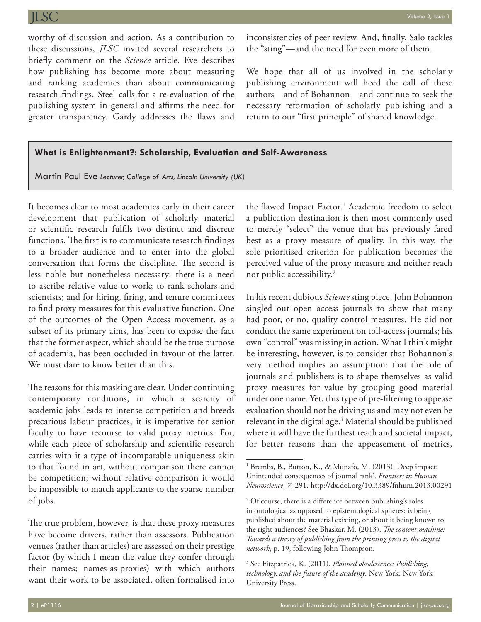inconsistencies of peer review. And, finally, Salo tackles the "sting"—and the need for even more of them.

We hope that all of us involved in the scholarly publishing environment will heed the call of these authors—and of Bohannon—and continue to seek the necessary reformation of scholarly publishing and a return to our "first principle" of shared knowledge.

#### **What is Enlightenment?: Scholarship, Evaluation and Self-Awareness**

Martin Paul Eve *Lecturer, College of Arts, Lincoln University (UK)*

It becomes clear to most academics early in their career development that publication of scholarly material or scientific research fulfils two distinct and discrete functions. The first is to communicate research findings to a broader audience and to enter into the global conversation that forms the discipline. The second is less noble but nonetheless necessary: there is a need to ascribe relative value to work; to rank scholars and scientists; and for hiring, firing, and tenure committees to find proxy measures for this evaluative function. One of the outcomes of the Open Access movement, as a subset of its primary aims, has been to expose the fact that the former aspect, which should be the true purpose of academia, has been occluded in favour of the latter. We must dare to know better than this.

The reasons for this masking are clear. Under continuing contemporary conditions, in which a scarcity of academic jobs leads to intense competition and breeds precarious labour practices, it is imperative for senior faculty to have recourse to valid proxy metrics. For, while each piece of scholarship and scientific research carries with it a type of incomparable uniqueness akin to that found in art, without comparison there cannot be competition; without relative comparison it would be impossible to match applicants to the sparse number of jobs.

The true problem, however, is that these proxy measures have become drivers, rather than assessors. Publication venues (rather than articles) are assessed on their prestige factor (by which I mean the value they confer through their names; names-as-proxies) with which authors want their work to be associated, often formalised into

the flawed Impact Factor.<sup>1</sup> Academic freedom to select a publication destination is then most commonly used to merely "select" the venue that has previously fared best as a proxy measure of quality. In this way, the sole prioritised criterion for publication becomes the perceived value of the proxy measure and neither reach nor public accessibility.2

In his recent dubious *Science* sting piece, John Bohannon singled out open access journals to show that many had poor, or no, quality control measures. He did not conduct the same experiment on toll-access journals; his own "control" was missing in action. What I think might be interesting, however, is to consider that Bohannon's very method implies an assumption: that the role of journals and publishers is to shape themselves as valid proxy measures for value by grouping good material under one name. Yet, this type of pre-filtering to appease evaluation should not be driving us and may not even be relevant in the digital age.3 Material should be published where it will have the furthest reach and societal impact, for better reasons than the appeasement of metrics,

<sup>&</sup>lt;sup>1</sup> Brembs, B., Button, K., & Munafò, M. (2013). Deep impact: Unintended consequences of journal rank'. *Frontiers in Human Neuroscience*, *7*, 291.<http://dx.doi.org/10.3389/fnhum.2013.00291>

<sup>&</sup>lt;sup>2</sup> Of course, there is a difference between publishing's roles in ontological as opposed to epistemological spheres: is being published about the material existing, or about it being known to the right audiences? See Bhaskar, M. (2013), *The content machine: Towards a theory of publishing from the printing press to the digital network*, p. 19, following John Thompson.

<sup>3</sup> See Fitzpatrick, K. (2011). *Planned obsolescence: Publishing, technology, and the future of the academy*. New York: New York University Press.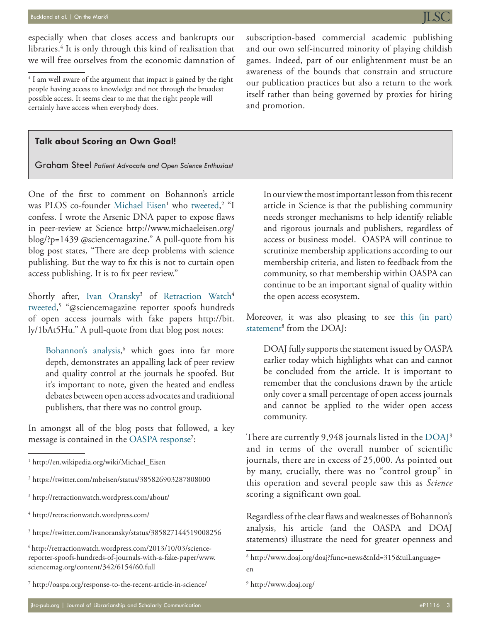

<sup>4</sup> I am well aware of the argument that impact is gained by the right people having access to knowledge and not through the broadest possible access. It seems clear to me that the right people will certainly have access when everybody does.

subscription-based commercial academic publishing and our own self-incurred minority of playing childish games. Indeed, part of our enlightenment must be an awareness of the bounds that constrain and structure our publication practices but also a return to the work itself rather than being governed by proxies for hiring and promotion.

#### **Talk about Scoring an Own Goal!**

Graham Steel *Patient Advocate and Open Science Enthusiast*

One of the first to comment on Bohannon's article was PLOS co-founder [Michael Eisen](http://en.wikipedia.org/wiki/Michael_Eisen)<sup>1</sup> who [tweeted,](https://twitter.com/mbeisen/status/385826903287808000)<sup>2</sup> "I confess. I wrote the Arsenic DNA paper to expose flaws in peer-review at Science [http://www.michaeleisen.org/](http://www.michaeleisen.org/blog/?p=1439) [blog/?p=1439](http://www.michaeleisen.org/blog/?p=1439) @sciencemagazine." A pull-quote from his blog post states, "There are deep problems with science publishing. But the way to fix this is not to curtain open access publishing. It is to fix peer review."

Shortly after, [Ivan Oransky](http://retractionwatch.wordpress.com/about/)<sup>3</sup> of [Retraction Watch](http://retractionwatch.wordpress.com/)<sup>4</sup> [tweeted,](https://twitter.com/ivanoransky/status/385827144519008256) 5 "@sciencemagazine reporter spoofs hundreds of open access journals with fake papers [http://bit.](http://bit.ly/1bAt5Hu) [ly/1bAt5Hu.](http://bit.ly/1bAt5Hu)" A pull-quote from that blog post notes:

[Bohannon's analysis](http://retractionwatch.wordpress.com/2013/10/03/science-reporter-spoofs-hundreds-of-journals-with-a-fake-paper/www.sciencemag.org/content/342/6154/60.full), 6 which goes into far more depth, demonstrates an appalling lack of peer review and quality control at the journals he spoofed. But it's important to note, given the heated and endless debates between open access advocates and traditional publishers, that there was no control group.

In amongst all of the blog posts that followed, a key message is contained in the [OASPA response](http://oaspa.org/response-to-the-recent-article-in-science/)<sup>7</sup>:

In our view the most important lesson from this recent article in Science is that the publishing community needs stronger mechanisms to help identify reliable and rigorous journals and publishers, regardless of access or business model. OASPA will continue to scrutinize membership applications according to our membership criteria, and listen to feedback from the community, so that membership within OASPA can continue to be an important signal of quality within the open access ecosystem.

Moreover, it was also pleasing to see [this \(in part\)](http://www.doaj.org/doaj?func=news&nId=315&uiLanguage=en) statement<sup>8</sup> from the DOAJ:

DOAJ fully supports the statement issued by OASPA earlier today which highlights what can and cannot be concluded from the article. It is important to remember that the conclusions drawn by the article only cover a small percentage of open access journals and cannot be applied to the wider open access community.

There are currently 9,948 journals listed in the [DOAJ9](http://www.doaj.org/) and in terms of the overall number of scientific journals, there are in excess of 25,000. As pointed out by many, crucially, there was no "control group" in this operation and several people saw this as *Science* scoring a significant own goal.

Regardless of the clear flaws and weaknesses of Bohannon's analysis, his article (and the OASPA and DOAJ statements) illustrate the need for greater openness and

<sup>1</sup> [http://en.wikipedia.org/wiki/Michael\\_Eisen](http://en.wikipedia.org/wiki/Michael_Eisen)

<sup>2</sup> <https://twitter.com/mbeisen/status/385826903287808000>

<sup>3</sup> <http://retractionwatch.wordpress.com/about/>

<sup>4</sup> <http://retractionwatch.wordpress.com/>

<sup>5</sup> <https://twitter.com/ivanoransky/status/385827144519008256>

<sup>6</sup> [http://retractionwatch.wordpress.com/2013/10/03/science](http://retractionwatch.wordpress.com/2013/10/03/science-reporter-spoofs-hundreds-of-journals-with-a-fake-paper/www.sciencemag.org/content/342/6154/60.full)[reporter-spoofs-hundreds-of-journals-with-a-fake-paper/www.](http://retractionwatch.wordpress.com/2013/10/03/science-reporter-spoofs-hundreds-of-journals-with-a-fake-paper/www.sciencemag.org/content/342/6154/60.full) [sciencemag.org/content/342/6154/60.full](http://retractionwatch.wordpress.com/2013/10/03/science-reporter-spoofs-hundreds-of-journals-with-a-fake-paper/www.sciencemag.org/content/342/6154/60.full)

<sup>8</sup> [http://www.doaj.org/doaj?func=news&nId=315&uiLanguage=](http://www.doaj.org/doaj?func=news&nId=315&uiLanguage=en) [en](http://www.doaj.org/doaj?func=news&nId=315&uiLanguage=en)

<sup>9</sup> <http://www.doaj.org/>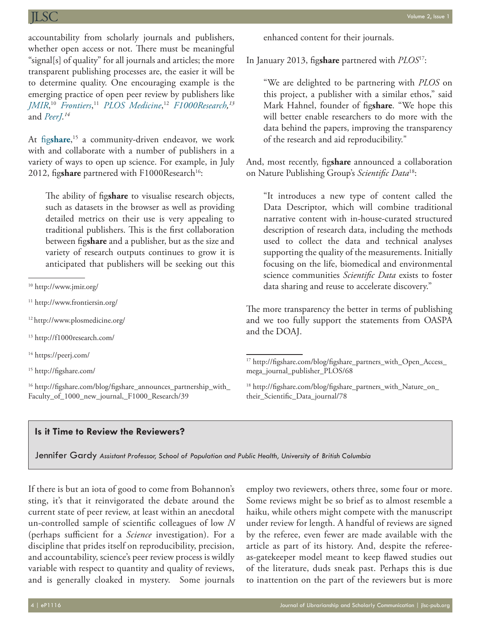accountability from scholarly journals and publishers, whether open access or not. There must be meaningful "signal[s] of quality" for all journals and articles; the more transparent publishing processes are, the easier it will be to determine quality. One encouraging example is the emerging practice of open peer review by publishers like *[JMIR](http://www.jmir.org/)*, <sup>10</sup> *[Frontiers](http://www.frontiersin.org/)*, <sup>11</sup> *[PLOS Medicine](http://www.plosmedicine.org/)*, <sup>12</sup> *[F1000Research,](http://f1000research.com/) 13* and *[PeerJ.](https://peerj.com/) 14*

At fig**[share](http://figshare.com/)**, 15 a community-driven endeavor, we work with and collaborate with a number of publishers in a variety of ways to open up science. For example, in July 2012, figshare partnered with F1000Research<sup>16</sup>:

The ability of fig**share** to visualise research objects, such as datasets in the browser as well as providing detailed metrics on their use is very appealing to traditional publishers. This is the first collaboration between fig**share** and a publisher, but as the size and variety of research outputs continues to grow it is anticipated that publishers will be seeking out this

- <sup>11</sup> <http://www.frontiersin.org/>
- 12<http://www.plosmedicine.org/>
- <sup>13</sup> <http://f1000research.com/>
- <sup>14</sup> <https://peerj.com/>

<sup>15</sup> <http://figshare.com/>

<sup>16</sup> [http://figshare.com/blog/figshare\\_announces\\_partnership\\_with\\_](http://figshare.com/blog/figshare_announces_partnership_with_Faculty_of_1000_new_journal,_F1000_Research/39) [Faculty\\_of\\_1000\\_new\\_journal,\\_F1000\\_Research/39](http://figshare.com/blog/figshare_announces_partnership_with_Faculty_of_1000_new_journal,_F1000_Research/39)

enhanced content for their journals.

In January 2013, fig**share** partnered with *PLOS*17:

"We are delighted to be partnering with *PLOS* on this project, a publisher with a similar ethos," said Mark Hahnel, founder of fig**share**. "We hope this will better enable researchers to do more with the data behind the papers, improving the transparency of the research and aid reproducibility."

And, most recently, fig**share** announced a collaboration on Nature Publishing Group's *Scientific Data*18:

"It introduces a new type of content called the Data Descriptor, which will combine traditional narrative content with in-house-curated structured description of research data, including the methods used to collect the data and technical analyses supporting the quality of the measurements. Initially focusing on the life, biomedical and environmental science communities *Scientific Data* exists to foster data sharing and reuse to accelerate discovery."

The more transparency the better in terms of publishing and we too fully support the statements from OASPA and the DOAJ.

#### **Is it Time to Review the Reviewers?**

Jennifer Gardy *Assistant Professor, School of Population and Public Health, University of British Columbia*

If there is but an iota of good to come from Bohannon's sting, it's that it reinvigorated the debate around the current state of peer review, at least within an anecdotal un-controlled sample of scientific colleagues of low *N*  (perhaps sufficient for a *Science* investigation). For a discipline that prides itself on reproducibility, precision, and accountability, science's peer review process is wildly variable with respect to quantity and quality of reviews, and is generally cloaked in mystery. Some journals

employ two reviewers, others three, some four or more. Some reviews might be so brief as to almost resemble a haiku, while others might compete with the manuscript under review for length. A handful of reviews are signed by the referee, even fewer are made available with the article as part of its history. And, despite the refereeas-gatekeeper model meant to keep flawed studies out of the literature, duds sneak past. Perhaps this is due to inattention on the part of the reviewers but is more

<sup>10</sup> <http://www.jmir.org/>

<sup>17</sup> [http://figshare.com/blog/figshare\\_partners\\_with\\_Open\\_Access\\_](http://figshare.com/blog/figshare_partners_with_Open_Access_mega_journal_publisher_PLOS/68) [mega\\_journal\\_publisher\\_PLOS/68](http://figshare.com/blog/figshare_partners_with_Open_Access_mega_journal_publisher_PLOS/68)

<sup>18</sup> [http://figshare.com/blog/figshare\\_partners\\_with\\_Nature\\_on\\_](http://figshare.com/blog/figshare_partners_with_Nature_on_their_Scientific_Data_journal/78) [their\\_Scientific\\_Data\\_journal/78](http://figshare.com/blog/figshare_partners_with_Nature_on_their_Scientific_Data_journal/78)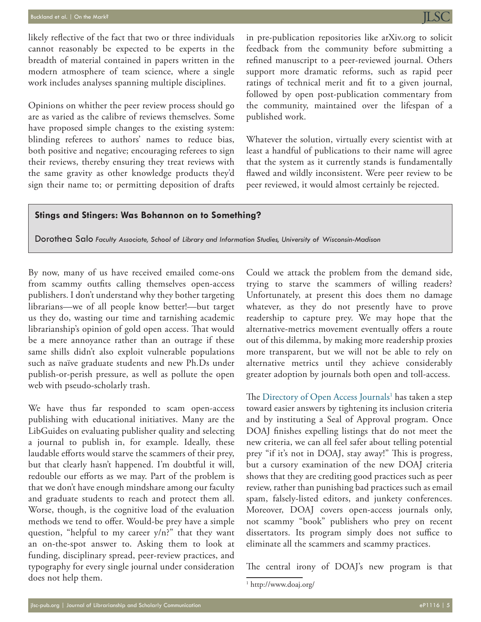

likely reflective of the fact that two or three individuals cannot reasonably be expected to be experts in the breadth of material contained in papers written in the modern atmosphere of team science, where a single work includes analyses spanning multiple disciplines.

Opinions on whither the peer review process should go are as varied as the calibre of reviews themselves. Some have proposed simple changes to the existing system: blinding referees to authors' names to reduce bias, both positive and negative; encouraging referees to sign their reviews, thereby ensuring they treat reviews with the same gravity as other knowledge products they'd sign their name to; or permitting deposition of drafts

in pre-publication repositories like arXiv.org to solicit feedback from the community before submitting a refined manuscript to a peer-reviewed journal. Others support more dramatic reforms, such as rapid peer ratings of technical merit and fit to a given journal, followed by open post-publication commentary from the community, maintained over the lifespan of a published work.

Whatever the solution, virtually every scientist with at least a handful of publications to their name will agree that the system as it currently stands is fundamentally flawed and wildly inconsistent. Were peer review to be peer reviewed, it would almost certainly be rejected.

#### **Stings and Stingers: Was Bohannon on to Something?**

Dorothea Salo *Faculty Associate, School of Library and Information Studies, University of Wisconsin-Madison*

By now, many of us have received emailed come-ons from scammy outfits calling themselves open-access publishers. I don't understand why they bother targeting librarians—we of all people know better!—but target us they do, wasting our time and tarnishing academic librarianship's opinion of gold open access. That would be a mere annoyance rather than an outrage if these same shills didn't also exploit vulnerable populations such as naïve graduate students and new Ph.Ds under publish-or-perish pressure, as well as pollute the open web with pseudo-scholarly trash.

We have thus far responded to scam open-access publishing with educational initiatives. Many are the LibGuides on evaluating publisher quality and selecting a journal to publish in, for example. Ideally, these laudable efforts would starve the scammers of their prey, but that clearly hasn't happened. I'm doubtful it will, redouble our efforts as we may. Part of the problem is that we don't have enough mindshare among our faculty and graduate students to reach and protect them all. Worse, though, is the cognitive load of the evaluation methods we tend to offer. Would-be prey have a simple question, "helpful to my career y/n?" that they want an on-the-spot answer to. Asking them to look at funding, disciplinary spread, peer-review practices, and typography for every single journal under consideration does not help them.

Could we attack the problem from the demand side, trying to starve the scammers of willing readers? Unfortunately, at present this does them no damage whatever, as they do not presently have to prove readership to capture prey. We may hope that the alternative-metrics movement eventually offers a route out of this dilemma, by making more readership proxies more transparent, but we will not be able to rely on alternative metrics until they achieve considerably greater adoption by journals both open and toll-access.

The [Directory of Open Access Journals](http://www.doaj.org/)<sup>1</sup> has taken a step toward easier answers by tightening its inclusion criteria and by instituting a Seal of Approval program. Once DOAJ finishes expelling listings that do not meet the new criteria, we can all feel safer about telling potential prey "if it's not in DOAJ, stay away!" This is progress, but a cursory examination of the new DOAJ criteria shows that they are crediting good practices such as peer review, rather than punishing bad practices such as email spam, falsely-listed editors, and junkety conferences. Moreover, DOAJ covers open-access journals only, not scammy "book" publishers who prey on recent dissertators. Its program simply does not suffice to eliminate all the scammers and scammy practices.

The central irony of DOAJ's new program is that

<sup>1</sup> <http://www.doaj.org/>